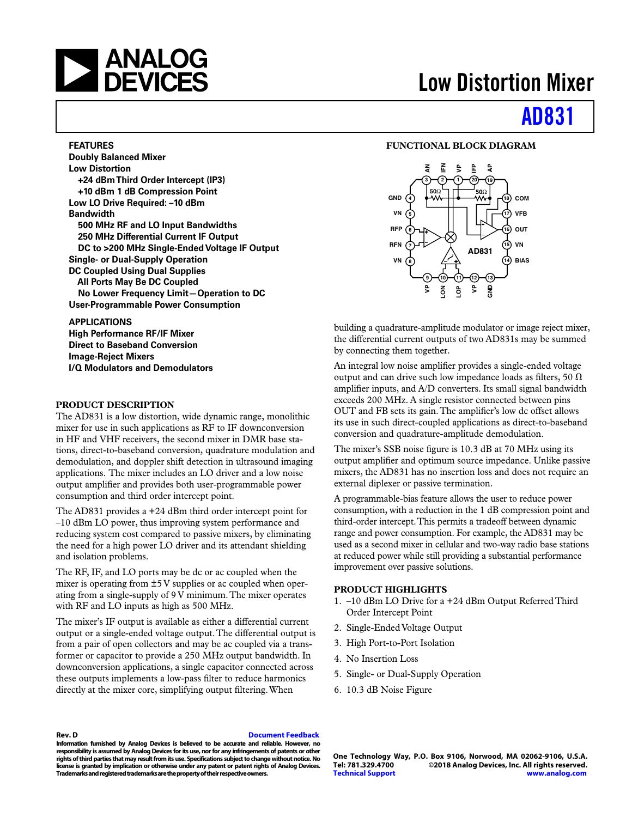# **NEXALOG**<br>DEVICES

#### **FEATURES**

**Doubly Balanced Mixer Low Distortion +24 dBm Third Order Intercept (IP3) +10 dBm 1 dB Compression Point Low LO Drive Required: –10 dBm Bandwidth 500 MHz RF and LO Input Bandwidths 250 MHz Differential Current IF Output DC to >200 MHz Single-Ended Voltage IF Output Single- or Dual-Supply Operation DC Coupled Using Dual Supplies All Ports May Be DC Coupled No Lower Frequency Limit—Operation to DC User-Programmable Power Consumption**

#### **APPLICATIONS**

**High Performance RF/IF Mixer Direct to Baseband Conversion Image-Reject Mixers I/Q Modulators and Demodulators**

#### **PRODUCT DESCRIPTION**

The AD831 is a low distortion, wide dynamic range, monolithic mixer for use in such applications as RF to IF downconversion in HF and VHF receivers, the second mixer in DMR base stations, direct-to-baseband conversion, quadrature modulation and demodulation, and doppler shift detection in ultrasound imaging applications. The mixer includes an LO driver and a low noise output amplifier and provides both user-programmable power consumption and third order intercept point.

The AD831 provides a +24 dBm third order intercept point for –10 dBm LO power, thus improving system performance and reducing system cost compared to passive mixers, by eliminating the need for a high power LO driver and its attendant shielding and isolation problems.

The RF, IF, and LO ports may be dc or ac coupled when the mixer is operating from ±5 V supplies or ac coupled when operating from a single-supply of 9 V minimum. The mixer operates with RF and LO inputs as high as 500 MHz.

The mixer's IF output is available as either a differential current output or a single-ended voltage output. The differential output is from a pair of open collectors and may be ac coupled via a transformer or capacitor to provide a 250 MHz output bandwidth. In downconversion applications, a single capacitor connected across these outputs implements a low-pass filter to reduce harmonics directly at the mixer core, simplifying output filtering. When

# **Low Distortion Mixer**

# **[AD831](http://www.analog.com/ad831?doc=ad831.pdf)**

#### **FUNCTIONAL BLOCK DIAGRAM**



building a quadrature-amplitude modulator or image reject mixer, the differential current outputs of two AD831s may be summed by connecting them together.

An integral low noise amplifier provides a single-ended voltage output and can drive such low impedance loads as filters, 50  $\Omega$ amplifier inputs, and A/D converters. Its small signal bandwidth exceeds 200 MHz. A single resistor connected between pins OUT and FB sets its gain. The amplifier's low dc offset allows its use in such direct-coupled applications as direct-to-baseband conversion and quadrature-amplitude demodulation.

The mixer's SSB noise figure is 10.3 dB at 70 MHz using its output amplifier and optimum source impedance. Unlike passive mixers, the AD831 has no insertion loss and does not require an external diplexer or passive termination.

A programmable-bias feature allows the user to reduce power consumption, with a reduction in the 1 dB compression point and third-order intercept. This permits a tradeoff between dynamic range and power consumption. For example, the AD831 may be used as a second mixer in cellular and two-way radio base stations at reduced power while still providing a substantial performance improvement over passive solutions.

#### **PRODUCT HIGHLIGHTS**

- 1. –10 dBm LO Drive for a +24 dBm Output Referred Third Order Intercept Point
- 2. Single-Ended Voltage Output
- 3. High Port-to-Port Isolation
- 4. No Insertion Loss
- 5. Single- or Dual-Supply Operation
- 6. 10.3 dB Noise Figure

#### **Rev. D [Document Feedback](https://form.analog.com/Form_Pages/feedback/documentfeedback.aspx?doc=AD831.pdf&product=AD831&rev=D)**

**Information furnished by Analog Devices is believed to be accurate and reliable. However, no responsibility is assumed by Analog Devices for its use, nor for any infringements of patents or other rights of third parties that may result from its use. Specifications subject to change without notice. No license is granted by implication or otherwise under any patent or patent rights of Analog Devices. Trademarks and registered trademarks are the property of their respective owners.**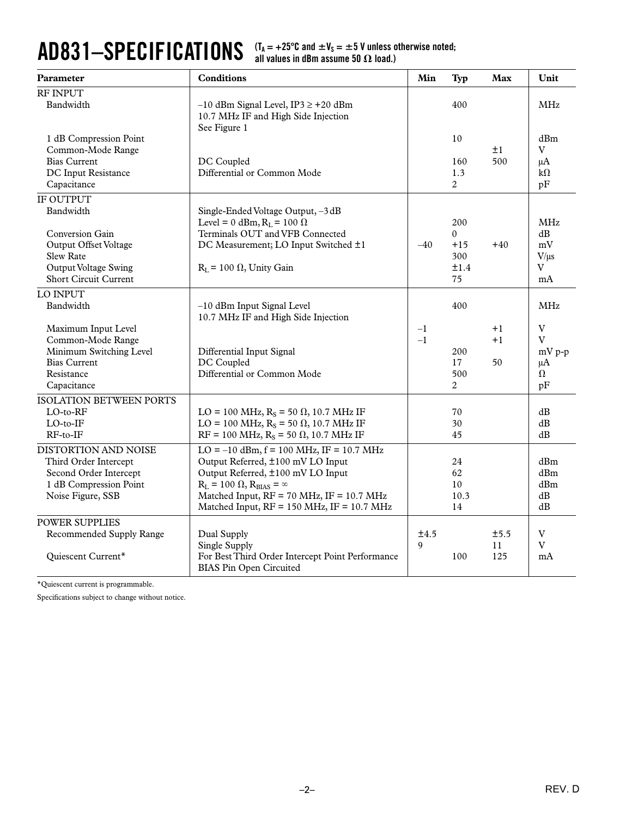#### AD831—SPECIFICATIONS  $(X_A = +25^\circ \text{C} \text{ and } \pm V_s = \pm 5 \text{ V} \text{ unless otherwise noted;}$ <br>all values in dBm assume 50  $\Omega$  load.) all values in dBm assume 50  $\boldsymbol{\Omega}$  load.)

| Parameter                                                                                                                          | <b>Conditions</b>                                                                                                                                                                                                                                                     | Min          | <b>Typ</b>                                 | Max                | Unit                                          |
|------------------------------------------------------------------------------------------------------------------------------------|-----------------------------------------------------------------------------------------------------------------------------------------------------------------------------------------------------------------------------------------------------------------------|--------------|--------------------------------------------|--------------------|-----------------------------------------------|
| RF INPUT<br>Bandwidth                                                                                                              | $-10$ dBm Signal Level, IP3 $\ge$ +20 dBm<br>10.7 MHz IF and High Side Injection                                                                                                                                                                                      |              | 400                                        |                    | MHz                                           |
| 1 dB Compression Point<br>Common-Mode Range<br><b>Bias Current</b><br>DC Input Resistance<br>Capacitance                           | See Figure 1<br>DC Coupled<br>Differential or Common Mode                                                                                                                                                                                                             |              | 10<br>160<br>1.3<br>2                      | ±1<br>500          | dBm<br>V<br>$\mu A$<br>$k\Omega$<br>pF        |
| <b>IF OUTPUT</b><br>Bandwidth                                                                                                      | Single-Ended Voltage Output, -3 dB<br>Level = 0 dBm, $R_L$ = 100 $\Omega$                                                                                                                                                                                             |              | 200                                        |                    | <b>MHz</b>                                    |
| <b>Conversion Gain</b><br>Output Offset Voltage<br><b>Slew Rate</b><br><b>Output Voltage Swing</b><br><b>Short Circuit Current</b> | Terminals OUT and VFB Connected<br>DC Measurement; LO Input Switched ±1<br>$R_L$ = 100 $\Omega$ , Unity Gain                                                                                                                                                          | $-40$        | $\mathbf{0}$<br>$+15$<br>300<br>±1.4<br>75 | $+40$              | dB<br>mV<br>V/us<br>V<br>mA                   |
| LO INPUT<br>Bandwidth                                                                                                              | -10 dBm Input Signal Level<br>10.7 MHz IF and High Side Injection                                                                                                                                                                                                     |              | 400                                        |                    | MHz                                           |
| Maximum Input Level<br>Common-Mode Range<br>Minimum Switching Level<br><b>Bias Current</b><br>Resistance<br>Capacitance            | Differential Input Signal<br>DC Coupled<br>Differential or Common Mode                                                                                                                                                                                                | $-1$<br>$-1$ | 200<br>17<br>500<br>2                      | $+1$<br>$+1$<br>50 | $\mathbf V$<br>V<br>$mV p-p$<br>μA<br>Ω<br>pF |
| ISOLATION BETWEEN PORTS<br>$LO$ -to- $RF$<br>$LO$ -to- $IF$<br>$RF-to-IF$                                                          | LO = 100 MHz, $R_s$ = 50 $\Omega$ , 10.7 MHz IF<br>LO = 100 MHz, $R_s$ = 50 $\Omega$ , 10.7 MHz IF<br>$RF = 100 MHz, RS = 50 \Omega, 10.7 MHz IF$                                                                                                                     |              | 70<br>30<br>45                             |                    | dB<br>dB<br>dB                                |
| DISTORTION AND NOISE<br>Third Order Intercept<br>Second Order Intercept<br>1 dB Compression Point<br>Noise Figure, SSB             | $LO = -10$ dBm, $f = 100$ MHz, IF = 10.7 MHz<br>Output Referred, ±100 mV LO Input<br>Output Referred, ±100 mV LO Input<br>$R_L$ = 100 $\Omega$ , $R_{BIAS}$ = $\infty$<br>Matched Input, RF = 70 MHz, IF = 10.7 MHz<br>Matched Input, $RF = 150$ MHz, $IF = 10.7$ MHz |              | 24<br>62<br>10<br>10.3<br>14               |                    | dBm<br>dBm<br>dBm<br>$\mathrm{dB}$<br>dB      |
| POWER SUPPLIES<br>Recommended Supply Range<br>Quiescent Current*                                                                   | Dual Supply<br>Single Supply<br>For Best Third Order Intercept Point Performance<br><b>BIAS Pin Open Circuited</b>                                                                                                                                                    | ±4.5<br>9    | 100                                        | ±5.5<br>11<br>125  | V<br>$\rm V$<br>mA                            |

\*Quiescent current is programmable.

Specifications subject to change without notice.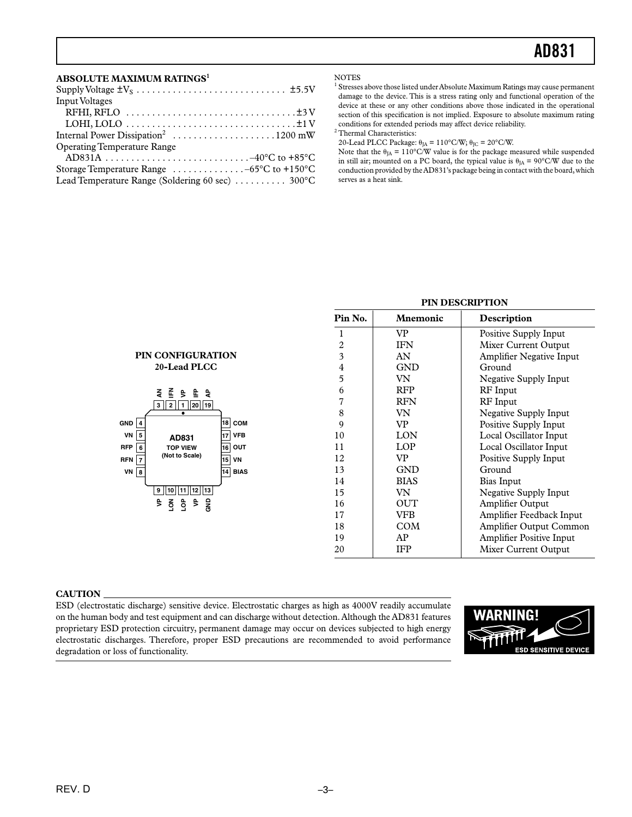#### **ABSOLUTE MAXIMUM RATINGS1**

| <b>Input Voltages</b>                                                |
|----------------------------------------------------------------------|
|                                                                      |
|                                                                      |
|                                                                      |
| <b>Operating Temperature Range</b>                                   |
|                                                                      |
| Storage Temperature Range $\dots \dots \dots \dots -65$ °C to +150°C |
| Lead Temperature Range (Soldering 60 sec)  300°C                     |

PIN CONFIGURATION 20-Lead PLCC

> そこと に さ  $3$  2 1 20 19

> > AD831

**TOP VIEW** (Not to Scale)

 $9||10||11||12||13$  $\frac{a}{2}$   $\frac{a}{2}$ SNE

 $5 \xi$ 

**GND**  $\overline{4}$  $VN$  5

**RFP**  $\sqrt{6}$ 

**RFN**  $\overline{\mathbf{z}}$ 

 $VN$  8

 $18$  COM

 $\overline{17}$  VFB

 $\overline{16}$  OUT

 $15$  VN

 $\overline{14}$  BIAS

**NOTES** 

<sup>1</sup> Stresses above those listed under Absolute Maximum Ratings may cause permanent damage to the device. This is a stress rating only and functional operation of the device at these or any other conditions above those indicated in the operational section of this specification is not implied. Exposure to absolute maximum rating conditions for extended periods may affect device reliability.

 $^{\rm 2}$  Thermal Characteristics:

20-Lead PLCC Package:  $\theta_{\rm JA}$  =  $110^{\circ}\rm C/W;$   $\theta_{\rm JC}$  =  $20^{\circ}\rm C/W.$ 

Note that the  $\theta_{JA} = 110^{\circ}$ C/W value is for the package measured while suspended in still air; mounted on a PC board, the typical value is  $\theta_{IA} = 90^{\circ}$ C/W due to the conduction provided by the AD831's package being in contact with the board, which serves as a heat sink.

| Pin No.        | Mnemonic    | Description                     |
|----------------|-------------|---------------------------------|
| 1              | VP.         | Positive Supply Input           |
| 2              | <b>IFN</b>  | Mixer Current Output            |
| 3              | AN          | <b>Amplifier Negative Input</b> |
| $\overline{4}$ | <b>GND</b>  | Ground                          |
| 5              | VN          | Negative Supply Input           |
| 6              | <b>RFP</b>  | RF Input                        |
| 7              | <b>RFN</b>  | <b>RF</b> Input                 |
| 8              | VN          | Negative Supply Input           |
| 9              | VP.         | Positive Supply Input           |
| 10             | LON         | Local Oscillator Input          |
| 11             | LOP         | Local Oscillator Input          |
| 12             | VP          | Positive Supply Input           |
| 13             | <b>GND</b>  | Ground                          |
| 14             | <b>BIAS</b> | Bias Input                      |
| 15             | VN          | <b>Negative Supply Input</b>    |
| 16             | <b>OUT</b>  | Amplifier Output                |
| 17             | VFB         | Amplifier Feedback Input        |
| 18             | COM         | Amplifier Output Common         |
| 19             | AP          | <b>Amplifier Positive Input</b> |
| 20             | <b>IFP</b>  | Mixer Current Output            |

### PIN DESCRIPTION

#### **CAUTION**

ESD (electrostatic discharge) sensitive device. Electrostatic charges as high as 4000V readily accumulate on the human body and test equipment and can discharge without detection. Although the AD831 features proprietary ESD protection circuitry, permanent damage may occur on devices subjected to high energy electrostatic discharges. Therefore, proper ESD precautions are recommended to avoid performance degradation or loss of functionality.

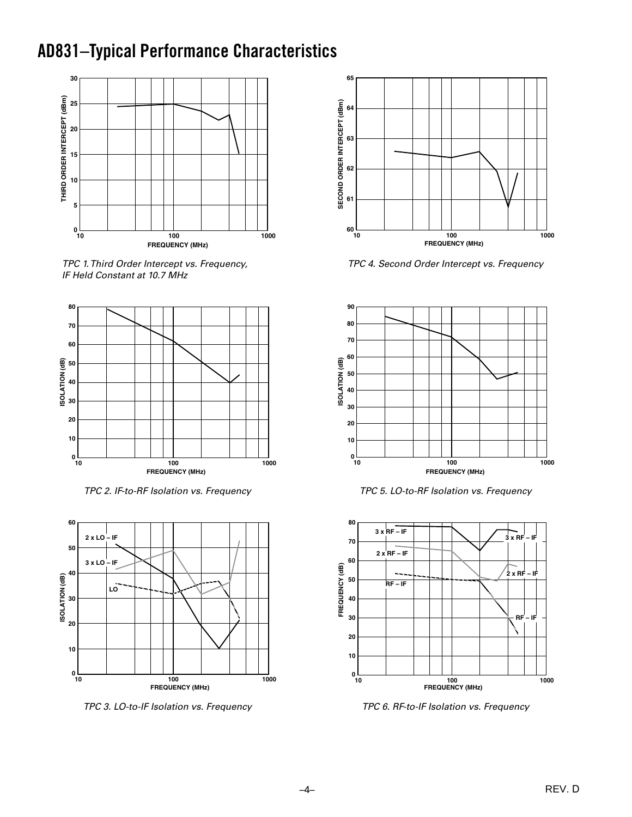## **AD831-Typical Performance Characteristics**



TPC 1. Third Order Intercept vs. Frequency, IF Held Constant at 10.7 MHz



TPC 2. IF-to-RF Isolation vs. Frequency



TPC 3. LO-to-IF Isolation vs. Frequency



TPC 4. Second Order Intercept vs. Frequency



TPC 5. LO-to-RF Isolation vs. Frequency



TPC 6. RF-to-IF Isolation vs. Frequency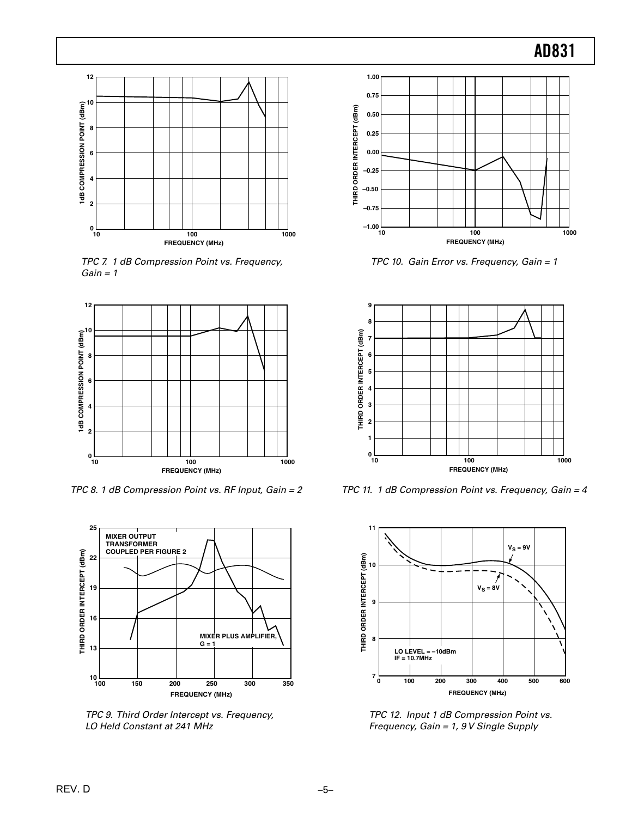

TPC 7. 1 dB Compression Point vs. Frequency,  $Gain = 1$ 



TPC 8. 1 dB Compression Point vs. RF Input, Gain = 2



TPC 9. Third Order Intercept vs. Frequency, LO Held Constant at 241 MHz



TPC 10. Gain Error vs. Frequency, Gain = 1



TPC 11. 1 dB Compression Point vs. Frequency, Gain = 4



TPC 12. Input 1 dB Compression Point vs. Frequency, Gain = 1, 9 V Single Supply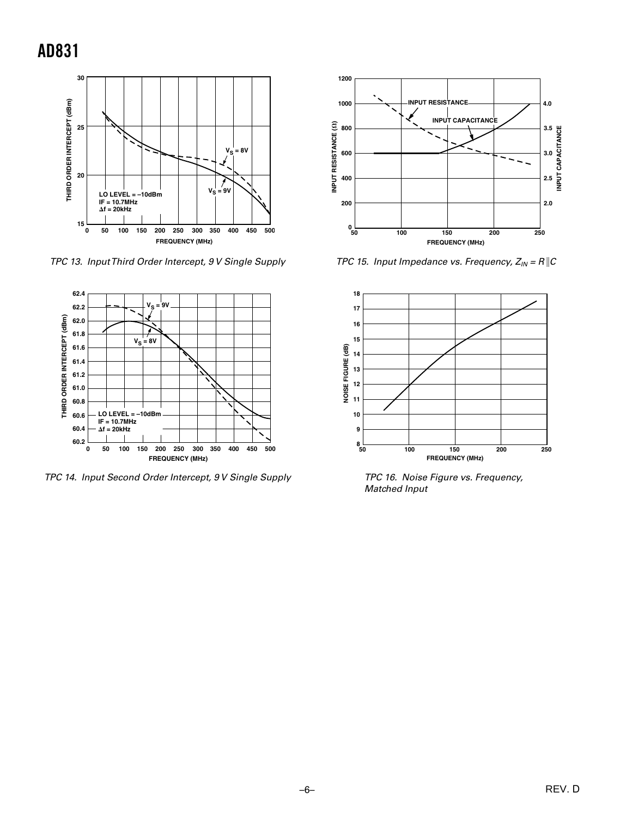

TPC 13. Input Third Order Intercept, 9 V Single Supply



TPC 14. Input Second Order Intercept, 9 V Single Supply



TPC 15. Input Impedance vs. Frequency,  $Z_{IN} = R$  | C



TPC 16. Noise Figure vs. Frequency, **Matched Input**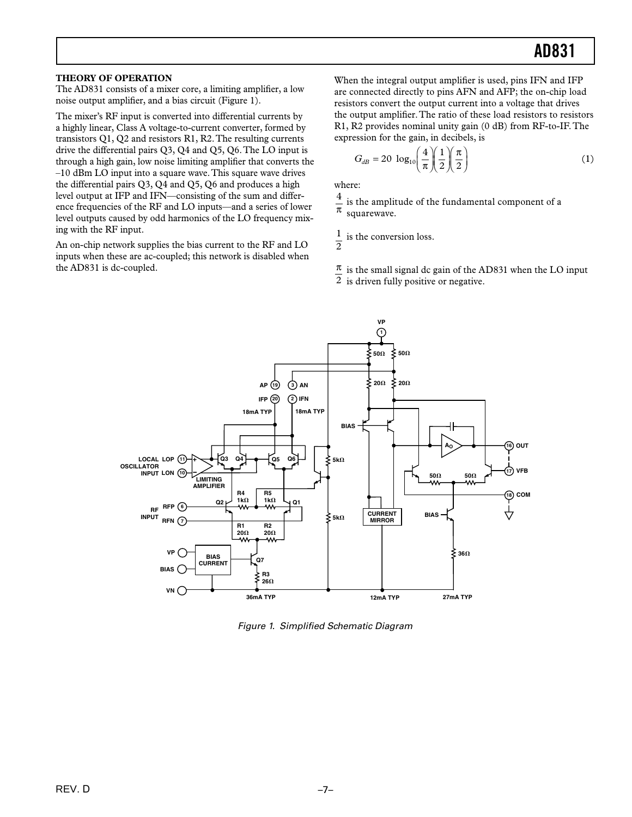#### THEORY OF OPERATION

The AD831 consists of a mixer core, a limiting amplifier, a low noise output amplifier, and a bias circuit (Figure 1).

The mixer's RF input is converted into differential currents by a highly linear, Class A voltage-to-current converter, formed by transistors  $Q1$ ,  $Q2$  and resistors R1, R2. The resulting currents drive the differential pairs Q3, Q4 and Q5, Q6. The LO input is through a high gain, low noise limiting amplifier that converts the  $-10$  dBm LO input into a square wave. This square wave drives the differential pairs Q3, Q4 and Q5, Q6 and produces a high level output at IFP and IFN—consisting of the sum and difference frequencies of the RF and LO inputs—and a series of lower level outputs caused by odd harmonics of the LO frequency mixing with the RF input.

An on-chip network supplies the bias current to the RF and LO inputs when these are ac-coupled; this network is disabled when the AD831 is dc-coupled.

When the integral output amplifier is used, pins IFN and IFP are connected directly to pins AFN and AFP; the on-chip load resistors convert the output current into a voltage that drives the output amplifier. The ratio of these load resistors to resistors R1, R2 provides nominal unity gain (0 dB) from RF-to-IF. The expression for the gain, in decibels, is

$$
G_{dB} = 20 \log_{10} \left(\frac{4}{\pi}\right) \left(\frac{1}{2}\right) \left(\frac{\pi}{2}\right) \tag{1}
$$

where:

 $\frac{4}{\pi}$ is the amplitude of the fundamental component of a squarewave.

 $\frac{1}{2}$  is the conversion loss.

 $\frac{\pi}{\hbar}$  is the small signal dc gain of the AD831 when the LO input

 $\overline{2}$  is driven fully positive or negative.



Figure 1. Simplified Schematic Diagram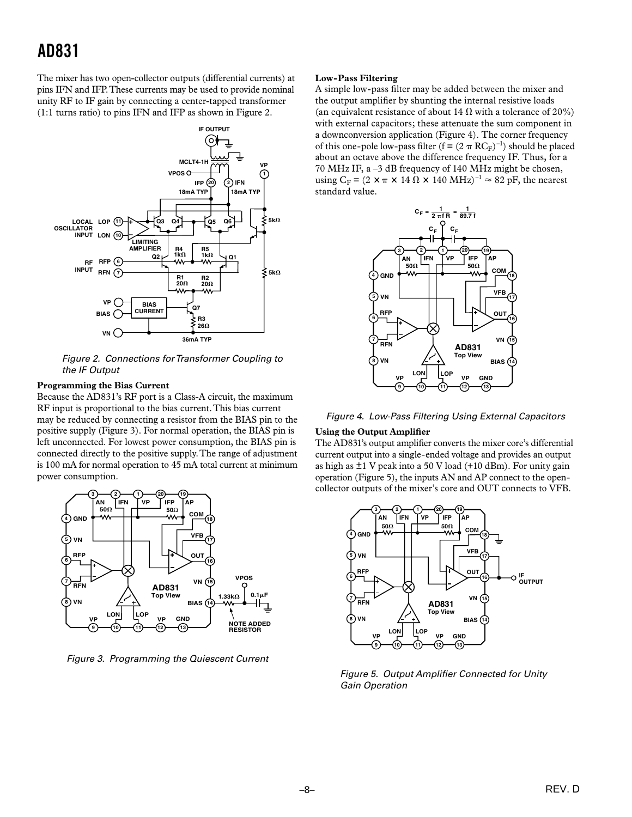### **AD831**

The mixer has two open-collector outputs (differential currents) at pins IFN and IFP. These currents may be used to provide nominal unity RF to IF gain by connecting a center-tapped transformer (1:1 turns ratio) to pins IFN and IFP as shown in Figure 2.



Figure 2. Connections for Transformer Coupling to the IF Output

#### **Programming the Bias Current**

Because the AD831's RF port is a Class-A circuit, the maximum RF input is proportional to the bias current. This bias current may be reduced by connecting a resistor from the BIAS pin to the positive supply (Figure 3). For normal operation, the BIAS pin is left unconnected. For lowest power consumption, the BIAS pin is connected directly to the positive supply. The range of adjustment is 100 mA for normal operation to 45 mA total current at minimum power consumption.



Figure 3. Programming the Quiescent Current

#### **Low-Pass Filtering**

A simple low-pass filter may be added between the mixer and the output amplifier by shunting the internal resistive loads (an equivalent resistance of about 14  $\Omega$  with a tolerance of 20%) with external capacitors; these attenuate the sum component in a downconversion application (Figure 4). The corner frequency of this one-pole low-pass filter ( $f = (2 \pi RC_F)^{-1}$ ) should be placed about an octave above the difference frequency IF. Thus, for a 70 MHz IF, a -3 dB frequency of 140 MHz might be chosen, using  $C_F = (2 \times \pi \times 14 \Omega \times 140 \text{ MHz})^{-1} \approx 82 \text{ pF}$ , the nearest standard value.



Figure 4. Low-Pass Filtering Using External Capacitors

#### **Using the Output Amplifier**

The AD831's output amplifier converts the mixer core's differential current output into a single-ended voltage and provides an output as high as  $\pm 1$  V peak into a 50 V load (+10 dBm). For unity gain operation (Figure 5), the inputs AN and AP connect to the opencollector outputs of the mixer's core and OUT connects to VFB.



Figure 5. Output Amplifier Connected for Unity **Gain Operation**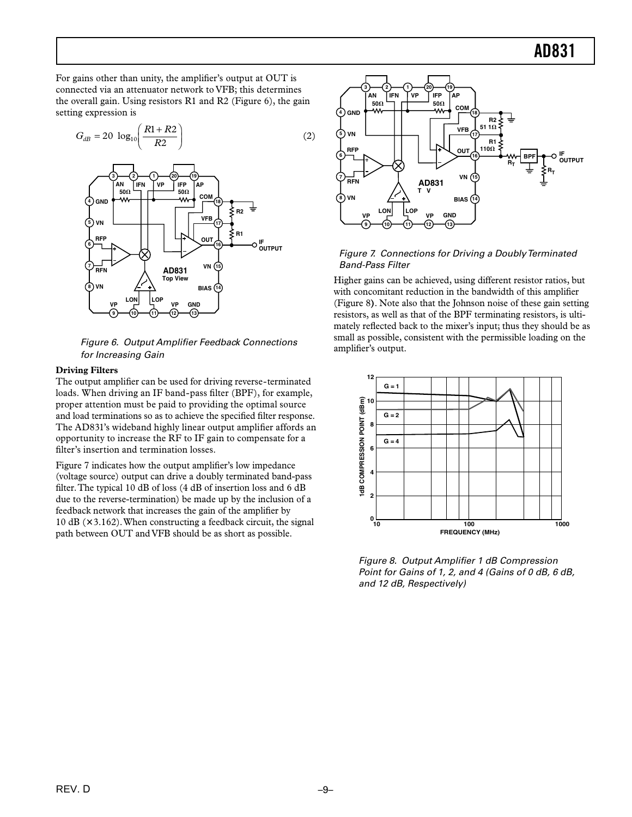For gains other than unity, the amplifier's output at OUT is connected via an attenuator network to VFB; this determines the overall gain. Using resistors R1 and R2 (Figure 6), the gain setting expression is



Figure 6. Output Amplifier Feedback Connections for Increasing Gain

#### **Driving Filters**

The output amplifier can be used for driving reverse-terminated loads. When driving an IF band-pass filter (BPF), for example, proper attention must be paid to providing the optimal source and load terminations so as to achieve the specified filter response. The AD831's wideband highly linear output amplifier affords an opportunity to increase the RF to IF gain to compensate for a filter's insertion and termination losses.

Figure 7 indicates how the output amplifier's low impedance (voltage source) output can drive a doubly terminated band-pass filter. The typical 10 dB of loss (4 dB of insertion loss and 6 dB due to the reverse-termination) be made up by the inclusion of a feedback network that increases the gain of the amplifier by 10 dB (×3.162). When constructing a feedback circuit, the signal path between OUT and VFB should be as short as possible.



#### Figure 7. Connections for Driving a Doubly Terminated **Band-Pass Filter**

Higher gains can be achieved, using different resistor ratios, but with concomitant reduction in the bandwidth of this amplifier (Figure 8). Note also that the Johnson noise of these gain setting resistors, as well as that of the BPF terminating resistors, is ultimately reflected back to the mixer's input; thus they should be as small as possible, consistent with the permissible loading on the amplifier's output.



Figure 8. Output Amplifier 1 dB Compression Point for Gains of 1, 2, and 4 (Gains of 0 dB, 6 dB, and 12 dB, Respectively)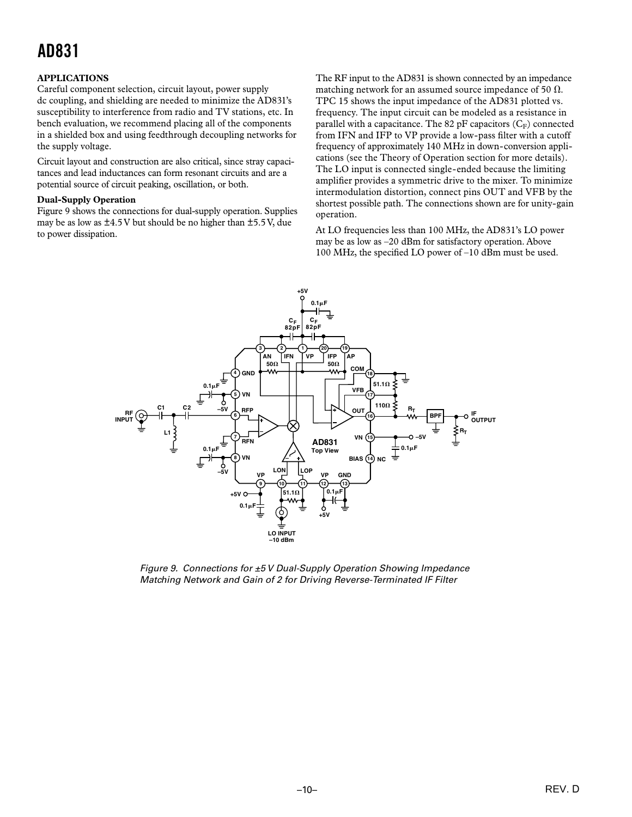## **AD831**

#### **APPLICATIONS**

Careful component selection, circuit layout, power supply dc coupling, and shielding are needed to minimize the AD831's susceptibility to interference from radio and TV stations, etc. In bench evaluation, we recommend placing all of the components in a shielded box and using feedthrough decoupling networks for the supply voltage.

Circuit layout and construction are also critical, since stray capacitances and lead inductances can form resonant circuits and are a potential source of circuit peaking, oscillation, or both.

#### **Dual-Supply Operation**

Figure 9 shows the connections for dual-supply operation. Supplies may be as low as  $\pm$ 4.5 V but should be no higher than  $\pm$ 5.5 V, due to power dissipation.

The RF input to the AD831 is shown connected by an impedance matching network for an assumed source impedance of 50  $\Omega$ . TPC 15 shows the input impedance of the AD831 plotted vs. frequency. The input circuit can be modeled as a resistance in parallel with a capacitance. The 82 pF capacitors  $(C_F)$  connected from IFN and IFP to VP provide a low-pass filter with a cutoff frequency of approximately 140 MHz in down-conversion applications (see the Theory of Operation section for more details). The LO input is connected single-ended because the limiting amplifier provides a symmetric drive to the mixer. To minimize intermodulation distortion, connect pins OUT and VFB by the shortest possible path. The connections shown are for unity-gain operation.

At LO frequencies less than 100 MHz, the AD831's LO power may be as low as -20 dBm for satisfactory operation. Above 100 MHz, the specified LO power of  $-10$  dBm must be used.



Figure 9. Connections for ±5 V Dual-Supply Operation Showing Impedance Matching Network and Gain of 2 for Driving Reverse-Terminated IF Filter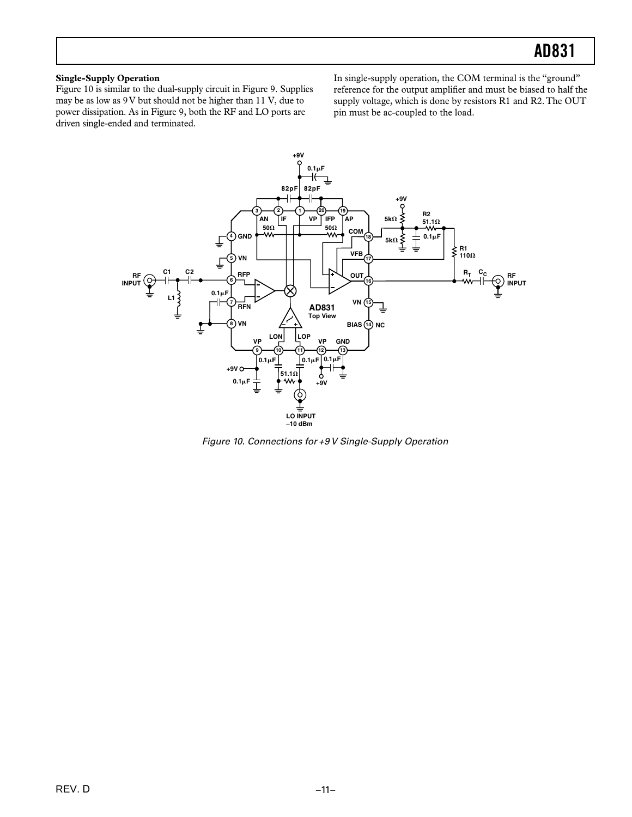#### **Single-Supply Operation**

Figure 10 is similar to the dual-supply circuit in Figure 9. Supplies may be as low as 9 V but should not be higher than 11 V, due to power dissipation. As in Figure 9, both the RF and LO ports are driven single-ended and terminated.

In single-supply operation, the COM terminal is the "ground" reference for the output amplifier and must be biased to half the supply voltage, which is done by resistors R1 and R2. The OUT pin must be ac-coupled to the load.



Figure 10. Connections for +9 V Single-Supply Operation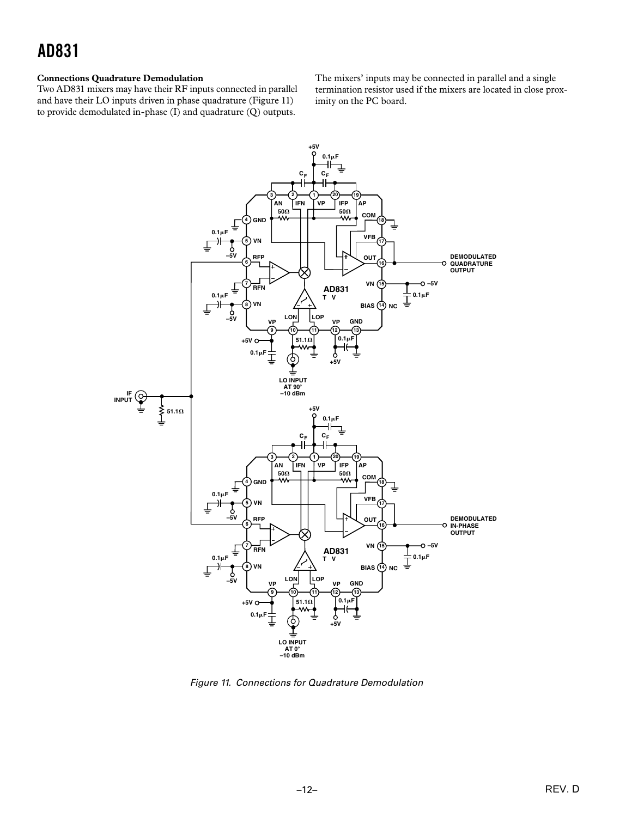### AD831

#### **Connections Quadrature Demodulation**

Two AD831 mixers may have their RF inputs connected in parallel and have their LO inputs driven in phase quadrature (Figure 11) to provide demodulated in-phase (I) and quadrature (Q) outputs.

The mixers' inputs may be connected in parallel and a single termination resistor used if the mixers are located in close proximity on the PC board.



Figure 11. Connections for Quadrature Demodulation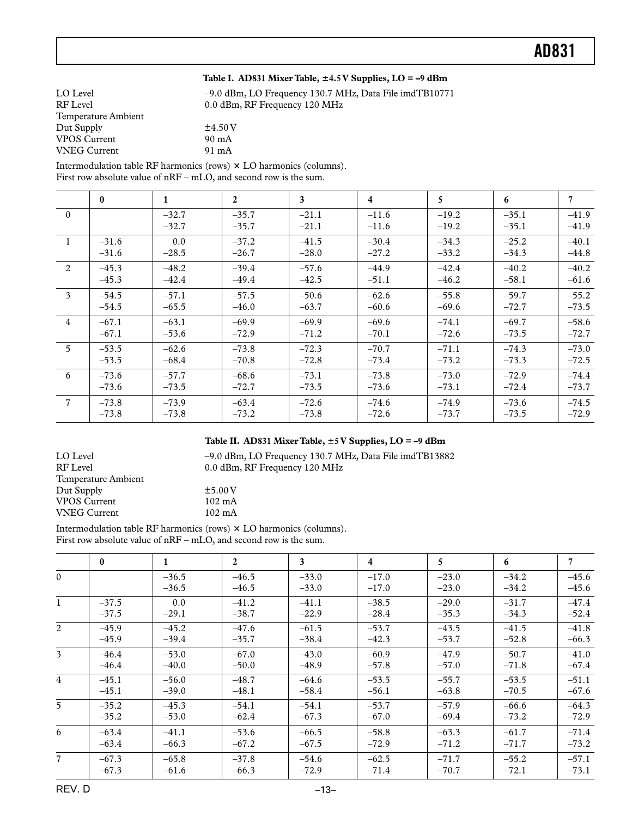#### **Table I. AD831 Mixer Table, 4.5 V Supplies, LO = –9 dBm**

| LO Level            | $-9.0$ dBm, LO Frequency 130.7 MHz, Data File imdTB10771 |
|---------------------|----------------------------------------------------------|
| RF Level            | 0.0 dBm, RF Frequency 120 MHz                            |
| Temperature Ambient |                                                          |
| Dut Supply          | $+4.50V$                                                 |
| <b>VPOS Current</b> | $90 \text{ mA}$                                          |
| <b>VNEG</b> Current | 91 mA                                                    |

Intermodulation table RF harmonics (rows) LO harmonics (columns). First row absolute value of nRF – mLO, and second row is the sum.

|                | $\bf{0}$ | $\mathbf{1}$ | $\overline{2}$ | $\mathbf{3}$ | $\overline{4}$ | 5       | 6       | $\overline{7}$ |
|----------------|----------|--------------|----------------|--------------|----------------|---------|---------|----------------|
|                |          |              |                |              |                |         |         |                |
| $\theta$       |          | $-32.7$      | $-35.7$        | $-21.1$      | $-11.6$        | $-19.2$ | $-35.1$ | $-41.9$        |
|                |          | $-32.7$      | $-35.7$        | $-21.1$      | $-11.6$        | $-19.2$ | $-35.1$ | $-41.9$        |
| $\overline{1}$ | $-31.6$  | 0.0          | $-37.2$        | $-41.5$      | $-30.4$        | $-34.3$ | $-25.2$ | $-40.1$        |
|                | $-31.6$  | $-28.5$      | $-26.7$        | $-28.0$      | $-27.2$        | $-33.2$ | $-34.3$ | $-44.8$        |
| 2              | $-45.3$  | $-48.2$      | $-39.4$        | $-57.6$      | $-44.9$        | $-42.4$ | $-40.2$ | $-40.2$        |
|                | $-45.3$  | $-42.4$      | $-49.4$        | $-42.5$      | $-51.1$        | $-46.2$ | $-58.1$ | $-61.6$        |
| $\overline{3}$ | $-54.5$  | $-57.1$      | $-57.5$        | $-50.6$      | $-62.6$        | $-55.8$ | $-59.7$ | $-55.2$        |
|                | $-54.5$  | $-65.5$      | $-46.0$        | $-63.7$      | $-60.6$        | $-69.6$ | $-72.7$ | $-73.5$        |
| $\overline{4}$ | $-67.1$  | $-63.1$      | $-69.9$        | $-69.9$      | $-69.6$        | $-74.1$ | $-69.7$ | $-58.6$        |
|                | $-67.1$  | $-53.6$      | $-72.9$        | $-71.2$      | $-70.1$        | $-72.6$ | $-73.5$ | $-72.7$        |
| $5^{\circ}$    | $-53.5$  | $-62.6$      | $-73.8$        | $-72.3$      | $-70.7$        | $-71.1$ | $-74.3$ | $-73.0$        |
|                | $-53.5$  | $-68.4$      | $-70.8$        | $-72.8$      | $-73.4$        | $-73.2$ | $-73.3$ | $-72.5$        |
| 6              | $-73.6$  | $-57.7$      | $-68.6$        | $-73.1$      | $-73.8$        | $-73.0$ | $-72.9$ | $-74.4$        |
|                | $-73.6$  | $-73.5$      | $-72.7$        | $-73.5$      | $-73.6$        | $-73.1$ | $-72.4$ | $-73.7$        |
| $\overline{7}$ | $-73.8$  | $-73.9$      | $-63.4$        | $-72.6$      | $-74.6$        | $-74.9$ | $-73.6$ | $-74.5$        |
|                | $-73.8$  | $-73.8$      | $-73.2$        | $-73.8$      | $-72.6$        | $-73.7$ | $-73.5$ | $-72.9$        |
|                |          |              |                |              |                |         |         |                |

#### **Table II. AD831 Mixer Table, 5 V Supplies, LO = –9 dBm**

| LO Level            | -9.0 dBm, LO Frequency 130.7 MHz, Data File imdTB13882 |
|---------------------|--------------------------------------------------------|
| RF Level            | 0.0 dBm, RF Frequency 120 MHz                          |
| Temperature Ambient |                                                        |
| Dut Supply          | $\pm$ 5.00 V                                           |
| <b>VPOS Current</b> | $102 \text{ mA}$                                       |
| <b>VNEG</b> Current | $102 \text{ mA}$                                       |

Intermodulation table RF harmonics (rows) LO harmonics (columns). First row absolute value of nRF – mLO, and second row is the sum.

|                | $\mathbf{0}$ | $\mathbf{1}$       | $\overline{2}$     | 3                  | $\overline{4}$     | 5                  | 6                  | 7                  |
|----------------|--------------|--------------------|--------------------|--------------------|--------------------|--------------------|--------------------|--------------------|
| $\Omega$       |              | $-36.5$<br>$-36.5$ | $-46.5$<br>$-46.5$ | $-33.0$<br>$-33.0$ | $-17.0$<br>$-17.0$ | $-23.0$<br>$-23.0$ | $-34.2$<br>$-34.2$ | $-45.6$<br>$-45.6$ |
| 1              | $-37.5$      | 0.0                | $-41.2$            | $-41.1$            | $-38.5$            | $-29.0$            | $-31.7$            | $-47.4$            |
|                | $-37.5$      | $-29.1$            | $-38.7$            | $-22.9$            | $-28.4$            | $-35.3$            | $-34.3$            | $-52.4$            |
| $\overline{2}$ | $-45.9$      | $-45.2$            | $-47.6$            | $-61.5$            | $-53.7$            | $-43.5$            | $-41.5$            | $-41.8$            |
|                | $-45.9$      | $-39.4$            | $-35.7$            | $-38.4$            | $-42.3$            | $-53.7$            | $-52.8$            | $-66.3$            |
| 3 <sup>1</sup> | $-46.4$      | $-53.0$            | $-67.0$            | $-43.0$            | $-60.9$            | $-47.9$            | $-50.7$            | $-41.0$            |
|                | $-46.4$      | $-40.0$            | $-50.0$            | $-48.9$            | $-57.8$            | $-57.0$            | $-71.8$            | $-67.4$            |
| $\overline{4}$ | $-45.1$      | $-56.0$            | $-48.7$            | $-64.6$            | $-53.5$            | $-55.7$            | $-53.5$            | $-51.1$            |
|                | $-45.1$      | $-39.0$            | $-48.1$            | $-58.4$            | $-56.1$            | $-63.8$            | $-70.5$            | $-67.6$            |
| $\overline{5}$ | $-35.2$      | $-45.3$            | $-54.1$            | $-54.1$            | $-53.7$            | $-57.9$            | $-66.6$            | $-64.3$            |
|                | $-35.2$      | $-53.0$            | $-62.4$            | $-67.3$            | $-67.0$            | $-69.4$            | $-73.2$            | $-72.9$            |
| 6              | $-63.4$      | $-41.1$            | $-53.6$            | $-66.5$            | $-58.8$            | $-63.3$            | $-61.7$            | $-71.4$            |
|                | $-63.4$      | $-66.3$            | $-67.2$            | $-67.5$            | $-72.9$            | $-71.2$            | $-71.7$            | $-73.2$            |
| $7^{\circ}$    | $-67.3$      | $-65.8$            | $-37.8$            | $-54.6$            | $-62.5$            | $-71.7$            | $-55.2$            | $-57.1$            |
|                | $-67.3$      | $-61.6$            | $-66.3$            | $-72.9$            | $-71.4$            | $-70.7$            | $-72.1$            | $-73.1$            |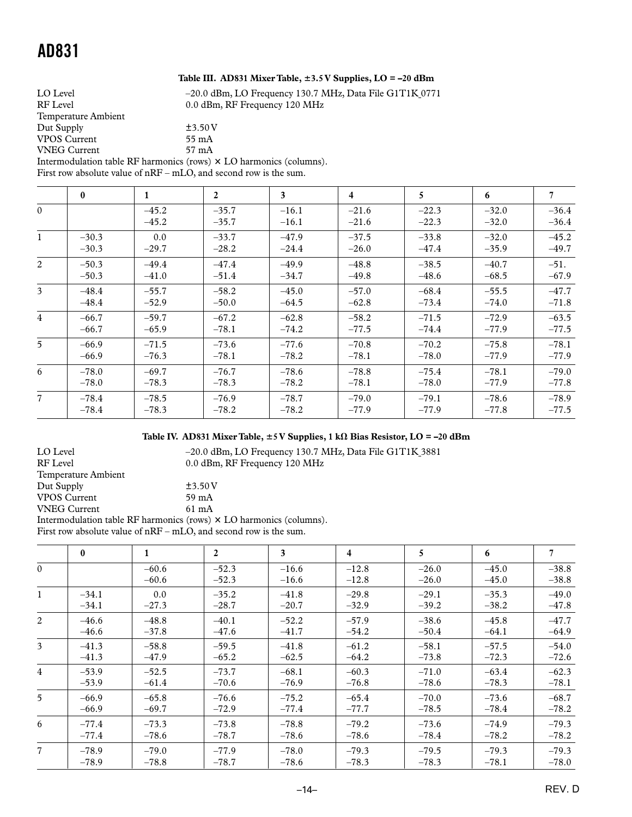#### **Table III. AD831 Mixer Table, 3.5 V Supplies, LO = –20 dBm**

LO Level  $-20.0$  dBm, LO Frequency 130.7 MHz, Data File G1T1K\_0771

| RF Level                                                                   | 0.0 dBm, RF Frequency 120 MHz |
|----------------------------------------------------------------------------|-------------------------------|
| Temperature Ambient                                                        |                               |
| Dut Supply                                                                 | $+3.50V$                      |
| <b>VPOS Current</b>                                                        | 55 mA                         |
| <b>VNEG Current</b>                                                        | 57 mA                         |
| Intermodulation table RF harmonics (rows) $\times$ LO harmonics (columns). |                               |

First row absolute value of nRF – mLO, and second row is the sum.

|                | $\bf{0}$ | $\mathbf{1}$       | $\overline{2}$     | $\overline{\mathbf{3}}$ | $\overline{4}$     | 5                  | 6                  | $\overline{7}$     |
|----------------|----------|--------------------|--------------------|-------------------------|--------------------|--------------------|--------------------|--------------------|
| $\overline{0}$ |          | $-45.2$<br>$-45.2$ | $-35.7$<br>$-35.7$ | $-16.1$<br>$-16.1$      | $-21.6$<br>$-21.6$ | $-22.3$<br>$-22.3$ | $-32.0$<br>$-32.0$ | $-36.4$<br>$-36.4$ |
| $\mathbf{1}$   | $-30.3$  | 0.0                | $-33.7$            | $-47.9$                 | $-37.5$            | $-33.8$            | $-32.0$            | $-45.2$            |
|                | $-30.3$  | $-29.7$            | $-28.2$            | $-24.4$                 | $-26.0$            | $-47.4$            | $-35.9$            | $-49.7$            |
| $\overline{2}$ | $-50.3$  | $-49.4$            | $-47.4$            | $-49.9$                 | $-48.8$            | $-38.5$            | $-40.7$            | $-51.$             |
|                | $-50.3$  | $-41.0$            | $-51.4$            | $-34.7$                 | $-49.8$            | $-48.6$            | $-68.5$            | $-67.9$            |
| $\overline{3}$ | $-48.4$  | $-55.7$            | $-58.2$            | $-45.0$                 | $-57.0$            | $-68.4$            | $-55.5$            | $-47.7$            |
|                | $-48.4$  | $-52.9$            | $-50.0$            | $-64.5$                 | $-62.8$            | $-73.4$            | $-74.0$            | $-71.8$            |
| $\overline{4}$ | $-66.7$  | $-59.7$            | $-67.2$            | $-62.8$                 | $-58.2$            | $-71.5$            | $-72.9$            | $-63.5$            |
|                | $-66.7$  | $-65.9$            | $-78.1$            | $-74.2$                 | $-77.5$            | $-74.4$            | $-77.9$            | $-77.5$            |
| $\overline{5}$ | $-66.9$  | $-71.5$            | $-73.6$            | $-77.6$                 | $-70.8$            | $-70.2$            | $-75.8$            | $-78.1$            |
|                | $-66.9$  | $-76.3$            | $-78.1$            | $-78.2$                 | $-78.1$            | $-78.0$            | $-77.9$            | $-77.9$            |
| 6              | $-78.0$  | $-69.7$            | $-76.7$            | $-78.6$                 | $-78.8$            | $-75.4$            | $-78.1$            | $-79.0$            |
|                | $-78.0$  | $-78.3$            | $-78.3$            | $-78.2$                 | $-78.1$            | $-78.0$            | $-77.9$            | $-77.8$            |
| $\overline{7}$ | $-78.4$  | $-78.5$            | $-76.9$            | $-78.7$                 | $-79.0$            | $-79.1$            | $-78.6$            | $-78.9$            |
|                | $-78.4$  | $-78.3$            | $-78.2$            | $-78.2$                 | $-77.9$            | $-77.9$            | $-77.8$            | $-77.5$            |

### Table IV. AD831 Mixer Table,  $\pm$ 5 V Supplies, 1 kΩ Bias Resistor, LO = -20 dBm

| LO Level                                                                   | $-20.0$ dBm, LO Frequency 130.7 MHz, Data File G1T1K 3881 |  |  |  |  |
|----------------------------------------------------------------------------|-----------------------------------------------------------|--|--|--|--|
| <b>RF</b> Level                                                            | 0.0 dBm, RF Frequency 120 MHz                             |  |  |  |  |
| Temperature Ambient                                                        |                                                           |  |  |  |  |
| Dut Supply                                                                 | $\pm$ 3.50 V                                              |  |  |  |  |
| <b>VPOS Current</b>                                                        | 59 mA                                                     |  |  |  |  |
| <b>VNEG Current</b>                                                        | $61 \text{ mA}$                                           |  |  |  |  |
| Intermodulation table RF harmonics (rows) $\times$ LO harmonics (columns). |                                                           |  |  |  |  |
| First row absolute value of $nRF - mLO$ , and second row is the sum.       |                                                           |  |  |  |  |

|                | $\mathbf{0}$ | $\mathbf{1}$       | $\overline{2}$     | 3                  | 4                  | 5                  | 6                  | $7\overline{ }$    |
|----------------|--------------|--------------------|--------------------|--------------------|--------------------|--------------------|--------------------|--------------------|
| $\theta$       |              | $-60.6$<br>$-60.6$ | $-52.3$<br>$-52.3$ | $-16.6$<br>$-16.6$ | $-12.8$<br>$-12.8$ | $-26.0$<br>$-26.0$ | $-45.0$<br>$-45.0$ | $-38.8$<br>$-38.8$ |
| $\mathbf{1}$   | $-34.1$      | 0.0                | $-35.2$            | $-41.8$            | $-29.8$            | $-29.1$            | $-35.3$            | $-49.0$            |
|                | $-34.1$      | $-27.3$            | $-28.7$            | $-20.7$            | $-32.9$            | $-39.2$            | $-38.2$            | $-47.8$            |
| $\overline{2}$ | $-46.6$      | $-48.8$            | $-40.1$            | $-52.2$            | $-57.9$            | $-38.6$            | $-45.8$            | $-47.7$            |
|                | $-46.6$      | $-37.8$            | $-47.6$            | $-41.7$            | $-54.2$            | $-50.4$            | $-64.1$            | $-64.9$            |
| 3 <sup>1</sup> | $-41.3$      | $-58.8$            | $-59.5$            | $-41.8$            | $-61.2$            | $-58.1$            | $-57.5$            | $-54.0$            |
|                | $-41.3$      | $-47.9$            | $-65.2$            | $-62.5$            | $-64.2$            | $-73.8$            | $-72.3$            | $-72.6$            |
| $\overline{4}$ | $-53.9$      | $-52.5$            | $-73.7$            | $-68.1$            | $-60.3$            | $-71.0$            | $-63.4$            | $-62.3$            |
|                | $-53.9$      | $-61.4$            | $-70.6$            | $-76.9$            | $-76.8$            | $-78.6$            | $-78.3$            | $-78.1$            |
| 5 <sup>5</sup> | $-66.9$      | $-65.8$            | $-76.6$            | $-75.2$            | $-65.4$            | $-70.0$            | $-73.6$            | $-68.7$            |
|                | $-66.9$      | $-69.7$            | $-72.9$            | $-77.4$            | $-77.7$            | $-78.5$            | $-78.4$            | $-78.2$            |
| 6              | $-77.4$      | $-73.3$            | $-73.8$            | $-78.8$            | $-79.2$            | $-73.6$            | $-74.9$            | $-79.3$            |
|                | $-77.4$      | $-78.6$            | $-78.7$            | $-78.6$            | $-78.6$            | $-78.4$            | $-78.2$            | $-78.2$            |
| $\overline{7}$ | $-78.9$      | $-79.0$            | $-77.9$            | $-78.0$            | $-79.3$            | $-79.5$            | $-79.3$            | $-79.3$            |
|                | $-78.9$      | $-78.8$            | $-78.7$            | $-78.6$            | $-78.3$            | $-78.3$            | $-78.1$            | $-78.0$            |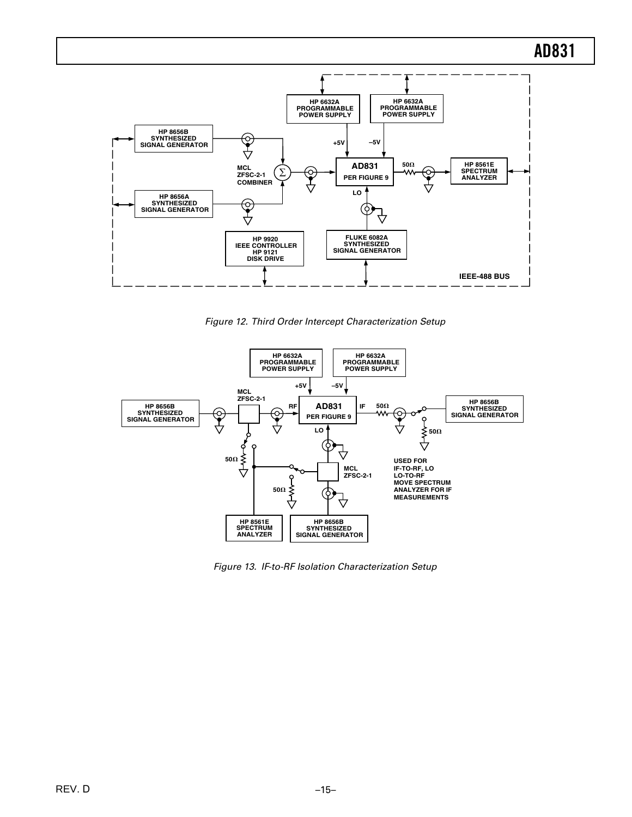

Figure 12. Third Order Intercept Characterization Setup



Figure 13. IF-to-RF Isolation Characterization Setup